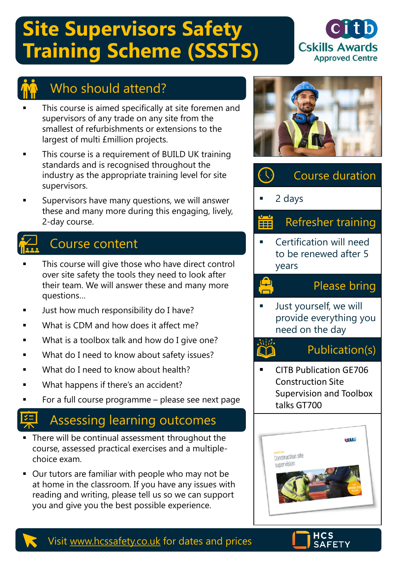# **Site Supervisors Safety Training Scheme (SSSTS)**





## Who should attend?

- This course is aimed specifically at site foremen and supervisors of any trade on any site from the smallest of refurbishments or extensions to the largest of multi £million projects.
- This course is a requirement of BUILD UK training standards and is recognised throughout the industry as the appropriate training level for site supervisors.
- Supervisors have many questions, we will answer these and many more during this engaging, lively, 2-day course.

## Course content

- This course will give those who have direct control over site safety the tools they need to look after their team. We will answer these and many more questions…
- Just how much responsibility do I have?
- What is CDM and how does it affect me?
- What is a toolbox talk and how do I give one?
- What do I need to know about safety issues?
- What do I need to know about health?
- What happens if there's an accident?
- For a full course programme please see next page

## Assessing learning outcomes

- There will be continual assessment throughout the course, assessed practical exercises and a multiplechoice exam.
- Our tutors are familiar with people who may not be at home in the classroom. If you have any issues with reading and writing, please tell us so we can support you and give you the best possible experience.



# Course duration

2 days

Å

臺遊 LYJ

#### Refresher training **iii**

Certification will need to be renewed after 5 years

### Please bring

Just yourself, we will provide everything you need on the day

### Publication(s)

CITB Publication GE706 Construction Site Supervision and Toolbox talks GT700





### Visit [www.hcssafety.co.uk](http://www.hcssafety.co.uk/) for dates and prices